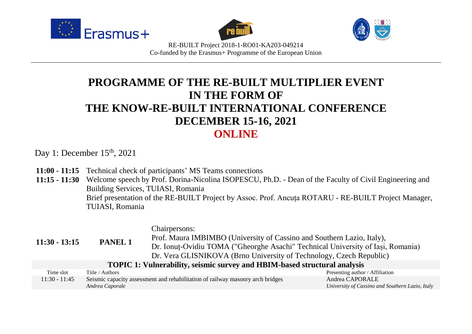





RE-BUILT Project 2018-1-RO01-KA203-049214 Co-funded by the Erasmus+ Programme of the European Union

# **PROGRAMME OF THE RE-BUILT MULTIPLIER EVENT IN THE FORM OF THE KNOW-RE-BUILT INTERNATIONAL CONFERENCE DECEMBER 15-16, 2021 ONLINE**

Day 1: December  $15<sup>th</sup>$ , 2021

- **11:00 - 11:15** Technical check of participants' MS Teams connections
- **11:15 - 11:30** Welcome speech by Prof. Dorina-Nicolina ISOPESCU, Ph.D. Dean of the Faculty of Civil Engineering and Building Services, TUIASI, Romania Brief presentation of the RE-BUILT Project by Assoc. Prof. Ancuța ROTARU - RE-BUILT Project Manager, TUIASI, Romania

| $11:30 - 13:15$                                                           | <b>PANEL 1</b>  | Chairpersons:<br>Prof. Maura IMBIMBO (University of Cassino and Southern Lazio, Italy),<br>Dr. Ionuț-Ovidiu TOMA ("Gheorghe Asachi" Technical University of Iași, Romania)<br>Dr. Vera GLISNIKOVA (Brno University of Technology, Czech Republic) |                                                                    |
|---------------------------------------------------------------------------|-----------------|---------------------------------------------------------------------------------------------------------------------------------------------------------------------------------------------------------------------------------------------------|--------------------------------------------------------------------|
| TOPIC 1: Vulnerability, seismic survey and HBIM-based structural analysis |                 |                                                                                                                                                                                                                                                   |                                                                    |
| Time slot                                                                 | Title / Authors |                                                                                                                                                                                                                                                   | Presenting author / Affiliation                                    |
| $11:30 - 11:45$                                                           | Andrea Caporale | Seismic capacity assessment and rehabilitation of railway masonry arch bridges                                                                                                                                                                    | Andrea CAPORALE<br>University of Cassino and Southern Lazio, Italy |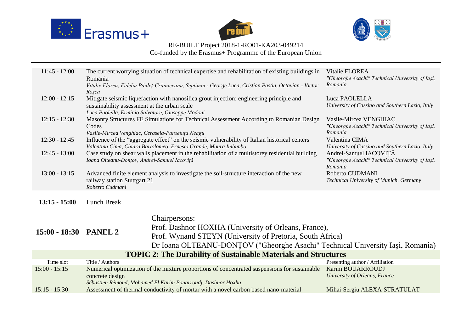





Co-funded by the Erasmus+ Programme of the European Union

| $11:45 - 12:00$       | The current worrying situation of technical expertise and rehabilitation of existing buildings in<br>Romania<br>Vitalie Florea, Fideliu Păuleț-Crăiniceanu, Septimiu - George Luca, Cristian Pastia, Octavian - Victor                                                     | Vitalie FLOREA<br>"Gheorghe Asachi" Technical University of Iași,<br>Romania                                                                                                                                         |                                                                                      |
|-----------------------|----------------------------------------------------------------------------------------------------------------------------------------------------------------------------------------------------------------------------------------------------------------------------|----------------------------------------------------------------------------------------------------------------------------------------------------------------------------------------------------------------------|--------------------------------------------------------------------------------------|
| $12:00 - 12:15$       | Roșca<br>Mitigate seismic liquefaction with nanosilica grout injection: engineering principle and<br>Luca PAOLELLA<br>University of Cassino and Southern Lazio, Italy<br>sustainability assessment at the urban scale<br>Luca Paolella, Erminio Salvatore, Giuseppe Modoni |                                                                                                                                                                                                                      |                                                                                      |
| $12:15 - 12:30$       | Masonry Structures FE Simulations for Technical Assessment According to Romanian Design<br>Vasile-Mircea VENGHIAC<br>"Gheorghe Asachi" Technical University of Iași,<br>Codes<br>Romania<br>Vasile-Mircea Venghiac, Cerasela-Panseluța Neagu                               |                                                                                                                                                                                                                      |                                                                                      |
| $12:30 - 12:45$       |                                                                                                                                                                                                                                                                            | Influence of the "aggregate effect" on the seismic vulnerability of Italian historical centers<br>Valentina Cima, Chiara Bartolomeo, Ernesto Grande, Maura Imbimbo                                                   | Valentina CIMA<br>University of Cassino and Southern Lazio, Italy                    |
| $12:45 - 13:00$       |                                                                                                                                                                                                                                                                            | Case study on shear walls placement in the rehabilitation of a multistorey residential building<br>Ioana Olteanu-Donțov, Andrei-Samuel Iacoviță                                                                      | Andrei-Samuel IACOVIȚĂ<br>"Gheorghe Asachi" Technical University of Iași,<br>Romania |
| $13:00 - 13:15$       | Advanced finite element analysis to investigate the soil-structure interaction of the new<br>railway station Stuttgart 21<br>Roberto Cudmani                                                                                                                               |                                                                                                                                                                                                                      | Roberto CUDMANI<br>Technical University of Munich. Germany                           |
| $13:15 - 15:00$       | Lunch Break                                                                                                                                                                                                                                                                |                                                                                                                                                                                                                      |                                                                                      |
| 15:00 - 18:30 PANEL 2 |                                                                                                                                                                                                                                                                            | Chairpersons:<br>Prof. Dashnor HOXHA (University of Orleans, France),<br>Prof. Wynand STEYN (University of Pretoria, South Africa)<br>Dr Ioana OLTEANU-DONȚOV ("Gheorghe Asachi" Technical University Iași, Romania) |                                                                                      |
|                       |                                                                                                                                                                                                                                                                            | <b>TOPIC 2: The Durability of Sustainable Materials and Structures</b>                                                                                                                                               |                                                                                      |
| Time slot             | Title / Authors                                                                                                                                                                                                                                                            |                                                                                                                                                                                                                      | Presenting author / Affiliation                                                      |
| $15:00 - 15:15$       | concrete design                                                                                                                                                                                                                                                            | Numerical optimization of the mixture proportions of concentrated suspensions for sustainable                                                                                                                        | <b>Karim BOUARROUDJ</b><br>University of Orleans, France                             |
| $15:15 - 15:30$       |                                                                                                                                                                                                                                                                            | Sébastien Rémond, Mohamed El Karim Bouarroudj, Dashnor Hoxha<br>Assessment of thermal conductivity of mortar with a novel carbon based nano-material                                                                 | Mihai-Sergiu ALEXA-STRATULAT                                                         |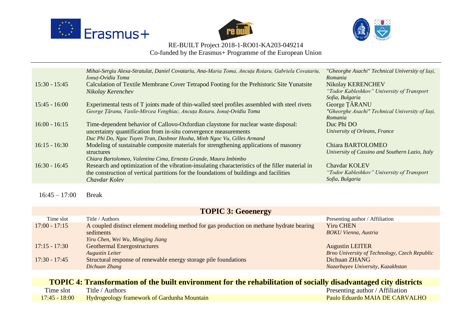





Co-funded by the Erasmus+ Programme of the European Union

| $15:30 - 15:45$ | Mihai-Sergiu Alexa-Stratulat, Daniel Covatariu, Ana-Maria Toma, Ancuța Rotaru, Gabriela Covatariu,<br>Ionuț-Ovidiu Toma<br>Calculation of Textile Membrane Cover Tetrapod Footing for the Prehistoric Site Yunatsite<br>Nikolay Kerenchev                                       | "Gheorghe Asachi" Technical University of Iași,<br>Romania<br>Nikolay KERENCHEV<br>"Todor Kableshkov" University of Transport |
|-----------------|---------------------------------------------------------------------------------------------------------------------------------------------------------------------------------------------------------------------------------------------------------------------------------|-------------------------------------------------------------------------------------------------------------------------------|
| $15:45 - 16:00$ | Experimental tests of T joints made of thin-walled steel profiles assembled with steel rivets                                                                                                                                                                                   | Sofia, Bulgaria<br>George TARANU                                                                                              |
|                 | George Țăranu, Vasile-Mircea Venghiac, Ancuța Rotaru, Ionuț-Ovidiu Toma                                                                                                                                                                                                         | "Gheorghe Asachi" Technical University of Iași,<br>Romania                                                                    |
| $16:00 - 16:15$ | Time-dependent behavior of Callovo-Oxfordian claystone for nuclear waste disposal:<br>uncertainty quantification from in-situ convergence measurements                                                                                                                          | Duc Phi DO<br>University of Orleans, France                                                                                   |
| $16:15 - 16:30$ | Duc Phi Do, Ngoc Tuyen Tran, Dashnor Hoxha, Minh Ngoc Vu, Gilles Armand<br>Modeling of sustainable composite materials for strengthening applications of masonry<br>structures                                                                                                  | Chiara BARTOLOMEO<br>University of Cassino and Southern Lazio, Italy                                                          |
| $16:30 - 16:45$ | Chiara Bartolomeo, Valentina Cima, Ernesto Grande, Maura Imbimbo<br>Research and optimization of the vibration-insulating characteristics of the filler material in<br>the construction of vertical partitions for the foundations of buildings and facilities<br>Chaydar Kolev | <b>Chaydar KOLEV</b><br>"Todor Kableshkov" University of Transport<br>Sofia, Bulgaria                                         |
|                 |                                                                                                                                                                                                                                                                                 |                                                                                                                               |

 $16:45 - 17:00$  Break

#### **TOPIC 3: Geoenergy** Time slot Title / Authors Presenting author / Affiliation 17:00 - 17:15 A coupled distinct element modeling method for gas production on methane hydrate bearing sediments *Yiru Chen, Wei Wu, Mingjing Jiang* Yiru CHEN *BOKU Vienna, Austria* 17:15 - 17:30 Geothermal Energostructures *Augustin Leiter* Augustin LEITER *Brno University of Technology, Czech Republic* 17:30 - 17:45 Structural response of renewable energy storage pile foundations *Dichuan Zhang* Dichuan ZHANG *Nazarbayev University, Kazakhstan*

**TOPIC 4: Transformation of the built environment for the rehabilitation of socially disadvantaged city districts**

| Time slot       | Title / Authors                                    | Presenting author / Affiliation |
|-----------------|----------------------------------------------------|---------------------------------|
| $17:45 - 18:00$ | <b>Hydrogeology framework of Gardunha Mountain</b> | Paulo Eduardo MAIA DE CARVALHO  |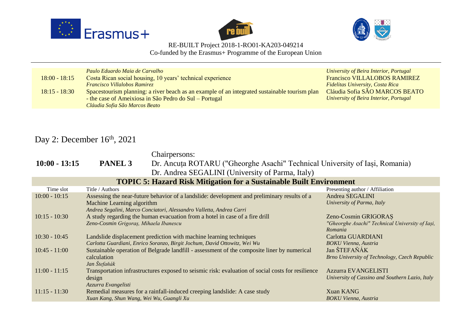





Co-funded by the Erasmus+ Programme of the European Union

|                 | Paulo Eduardo Maia de Carvalho                                                                | University of Beira Interior, Portugal  |
|-----------------|-----------------------------------------------------------------------------------------------|-----------------------------------------|
| $18:00 - 18:15$ | Costa Rican social housing, 10 years' technical experience                                    | <b>Francisco VILLALOBOS RAMIREZ</b>     |
|                 | <b>Francisco Villalobos Ramirez</b>                                                           | <b>Fidelitas University, Costa Rica</b> |
| $18:15 - 18:30$ | Spacestourism planning: a river beach as an example of an integrated sustainable tourism plan | Cláudia Sofia SÃO MARCOS BEATO          |
|                 | - the case of Ameixiosa in São Pedro do Sul – Portugal                                        | University of Beira Interior, Portugal  |
|                 | Cláudia Sofia São Marcos Beato                                                                |                                         |

## Day 2: December 16<sup>th</sup>, 2021

Chairpersons:

**10:00 - 13:15 PANEL 3** Dr. Ancuța ROTARU ("Gheorghe Asachi" Technical University of Iași, Romania) Dr. Andrea SEGALINI (University of Parma, Italy)

| $P1, 1$ mated blocking to $\sqrt{2}$ m $\sqrt{2}$ must be a minimal from $\sqrt{2}$ |                                                                                                   |                                                 |  |
|-------------------------------------------------------------------------------------|---------------------------------------------------------------------------------------------------|-------------------------------------------------|--|
| <b>TOPIC 5: Hazard Risk Mitigation for a Sustainable Built Environment</b>          |                                                                                                   |                                                 |  |
| Time slot                                                                           | Title / Authors                                                                                   | Presenting author / Affiliation                 |  |
| $10:00 - 10:15$                                                                     | Assessing the near-future behavior of a landslide: development and preliminary results of a       | Andrea SEGALINI                                 |  |
|                                                                                     | Machine Learning algorithm                                                                        | University of Parma, Italy                      |  |
|                                                                                     | Andrea Segalini, Marco Conciatori, Alessandro Valletta, Andrea Carri                              |                                                 |  |
| $10:15 - 10:30$                                                                     | A study regarding the human evacuation from a hotel in case of a fire drill                       | Zeno-Cosmin GRIGORAS                            |  |
|                                                                                     | Zeno-Cosmin Grigoraș, Mihaela Ibanescu                                                            | "Gheorghe Asachi" Technical University of Iași, |  |
|                                                                                     |                                                                                                   | Romania                                         |  |
| $10:30 - 10:45$                                                                     | Landslide displacement prediction with machine learning techniques                                | Carlotta GUARDIANI                              |  |
|                                                                                     | Carlotta Guardiani, Enrico Soranzo, Birgit Jochum, David Ottowitz, Wei Wu                         | <b>BOKU Vienna, Austria</b>                     |  |
| $10:45 - 11:00$                                                                     | Sustainable operation of Belgrade landfill - assessment of the composite liner by numerical       | Jan ŠTEFAŇÁK                                    |  |
|                                                                                     | calculation                                                                                       | Brno University of Technology, Czech Republic   |  |
|                                                                                     | Jan Štefaňák                                                                                      |                                                 |  |
| $11:00 - 11:15$                                                                     | Transportation infrastructures exposed to seismic risk: evaluation of social costs for resilience | Azzurra EVANGELISTI                             |  |
|                                                                                     | design                                                                                            | University of Cassino and Southern Lazio, Italy |  |
|                                                                                     | Azzurra Evangelisti                                                                               |                                                 |  |
| $11:15 - 11:30$                                                                     | Remedial measures for a rainfall-induced creeping landslide: A case study                         | <b>Xuan KANG</b>                                |  |
|                                                                                     | Xuan Kang, Shun Wang, Wei Wu, Guangli Xu                                                          | <b>BOKU Vienna</b> , Austria                    |  |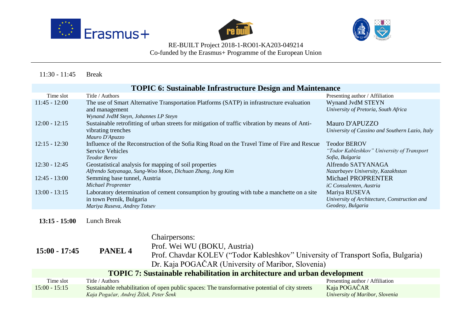





Co-funded by the Erasmus+ Programme of the European Union

11:30 - 11:45 Break

| <b>TOPIC 6: Sustainable Infrastructure Design and Maintenance</b> |                                                                                                 |                                                 |  |
|-------------------------------------------------------------------|-------------------------------------------------------------------------------------------------|-------------------------------------------------|--|
| Time slot                                                         | Title / Authors                                                                                 | Presenting author / Affiliation                 |  |
| $11:45 - 12:00$                                                   | The use of Smart Alternative Transportation Platforms (SATP) in infrastructure evaluation       | Wynand JvdM STEYN                               |  |
|                                                                   | and management                                                                                  | University of Pretoria, South Africa            |  |
|                                                                   | Wynand JvdM Steyn, Johannes LP Steyn                                                            |                                                 |  |
| $12:00 - 12:15$                                                   | Sustainable retrofitting of urban streets for mitigation of traffic vibration by means of Anti- | Mauro D'APUZZO                                  |  |
|                                                                   | vibrating trenches                                                                              | University of Cassino and Southern Lazio, Italy |  |
|                                                                   | Mauro D'Apuzzo                                                                                  |                                                 |  |
| $12:15 - 12:30$                                                   | Influence of the Reconstruction of the Sofia Ring Road on the Travel Time of Fire and Rescue    | <b>Teodor BEROV</b>                             |  |
|                                                                   | <b>Service Vehicles</b>                                                                         | "Todor Kableshkov" University of Transport      |  |
|                                                                   | <b>Teodor Berov</b>                                                                             | Sofia, Bulgaria                                 |  |
| $12:30 - 12:45$                                                   | Geostatistical analysis for mapping of soil properties                                          | Alfrendo SATYANAGA                              |  |
|                                                                   | Alfrendo Satyanaga, Sung-Woo Moon, Dichuan Zhang, Jong Kim                                      | Nazarbayev University, Kazakhstan               |  |
| $12:45 - 13:00$                                                   | Semming base tunnel, Austria                                                                    | Michael PROPRENTER                              |  |
|                                                                   | <b>Michael Proprenter</b>                                                                       | iC Consulenten, Austria                         |  |
| $13:00 - 13:15$                                                   | Laboratory determination of cement consumption by grouting with tube a manchette on a site      | Mariya RUSEVA                                   |  |
|                                                                   | in town Pernik, Bulgaria                                                                        | University of Architecture, Construction and    |  |
|                                                                   | Mariya Ruseva, Andrey Totsev                                                                    | Geodesy, Bulgaria                               |  |
|                                                                   |                                                                                                 |                                                 |  |
| $13:15 - 15:00$                                                   | Lunch Break                                                                                     |                                                 |  |

| 13:15 - 15:00 | Lunch Break |  |
|---------------|-------------|--|
|               |             |  |

| $15:00 - 17:45$                                                                  | PANEL <sub>4</sub>                     | Chairpersons:<br>Prof. Wei WU (BOKU, Austria)<br>Prof. Chavdar KOLEV ("Todor Kableshkov" University of Transport Sofia, Bulgaria)<br>Dr. Kaja POGAČAR (University of Maribor, Slovenia) |                                                 |
|----------------------------------------------------------------------------------|----------------------------------------|-----------------------------------------------------------------------------------------------------------------------------------------------------------------------------------------|-------------------------------------------------|
| <b>TOPIC 7: Sustainable rehabilitation in architecture and urban development</b> |                                        |                                                                                                                                                                                         |                                                 |
| Time slot                                                                        | Title / Authors                        |                                                                                                                                                                                         | Presenting author / Affiliation                 |
| $15:00 - 15:15$                                                                  | Kaja Pogačar, Andrej Žižek, Peter Šenk | Sustainable rehabilitation of open public spaces: The transformative potential of city streets                                                                                          | Kaja POGAČAR<br>University of Maribor, Slovenia |
|                                                                                  |                                        |                                                                                                                                                                                         |                                                 |